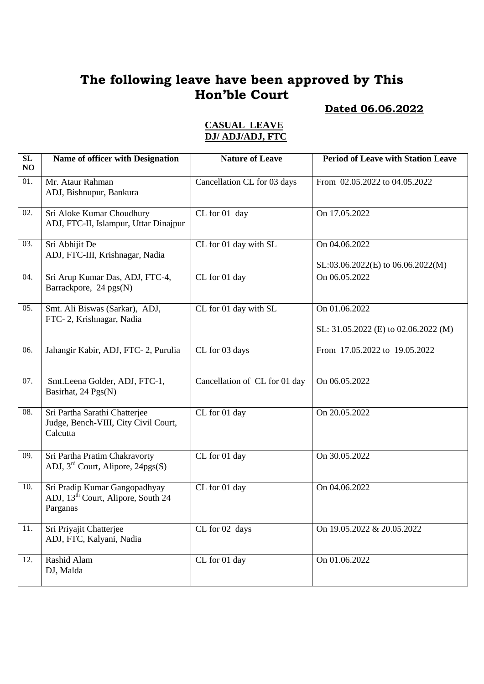# **Dated 06.06.2022**

#### **CASUAL LEAVE DJ/ ADJ/ADJ, FTC**

| $\overline{\text{SL}}$<br>NO | <b>Name of officer with Designation</b>                                                     | <b>Nature of Leave</b>        | <b>Period of Leave with Station Leave</b>             |
|------------------------------|---------------------------------------------------------------------------------------------|-------------------------------|-------------------------------------------------------|
| 01.                          | Mr. Ataur Rahman<br>ADJ, Bishnupur, Bankura                                                 | Cancellation CL for 03 days   | From 02.05.2022 to 04.05.2022                         |
| 02.                          | Sri Aloke Kumar Choudhury<br>ADJ, FTC-II, Islampur, Uttar Dinajpur                          | CL for 01 day                 | On 17.05.2022                                         |
| 03.                          | Sri Abhijit De<br>ADJ, FTC-III, Krishnagar, Nadia                                           | CL for 01 day with SL         | On 04.06.2022<br>$SL: 03.06.2022(E)$ to 06.06.2022(M) |
| $\overline{0}4.$             | Sri Arup Kumar Das, ADJ, FTC-4,<br>Barrackpore, 24 pgs(N)                                   | CL for 01 day                 | On 06.05.2022                                         |
| 05.                          | Smt. Ali Biswas (Sarkar), ADJ,<br>FTC-2, Krishnagar, Nadia                                  | CL for 01 day with SL         | On 01.06.2022<br>SL: 31.05.2022 (E) to 02.06.2022 (M) |
| 06.                          | Jahangir Kabir, ADJ, FTC-2, Purulia                                                         | CL for 03 days                | From 17.05.2022 to 19.05.2022                         |
| 07.                          | Smt.Leena Golder, ADJ, FTC-1,<br>Basirhat, 24 Pgs(N)                                        | Cancellation of CL for 01 day | On 06.05.2022                                         |
| 08.                          | Sri Partha Sarathi Chatterjee<br>Judge, Bench-VIII, City Civil Court,<br>Calcutta           | CL for 01 day                 | On 20.05.2022                                         |
| 09.                          | Sri Partha Pratim Chakravorty<br>ADJ, $3rd$ Court, Alipore, 24pgs(S)                        | CL for 01 day                 | On 30.05.2022                                         |
| 10.                          | Sri Pradip Kumar Gangopadhyay<br>ADJ, 13 <sup>th</sup> Court, Alipore, South 24<br>Parganas | CL for 01 day                 | On 04.06.2022                                         |
| 11.                          | Sri Priyajit Chatterjee<br>ADJ, FTC, Kalyani, Nadia                                         | CL for 02 days                | On 19.05.2022 & 20.05.2022                            |
| 12.                          | Rashid Alam<br>DJ, Malda                                                                    | CL for 01 day                 | On 01.06.2022                                         |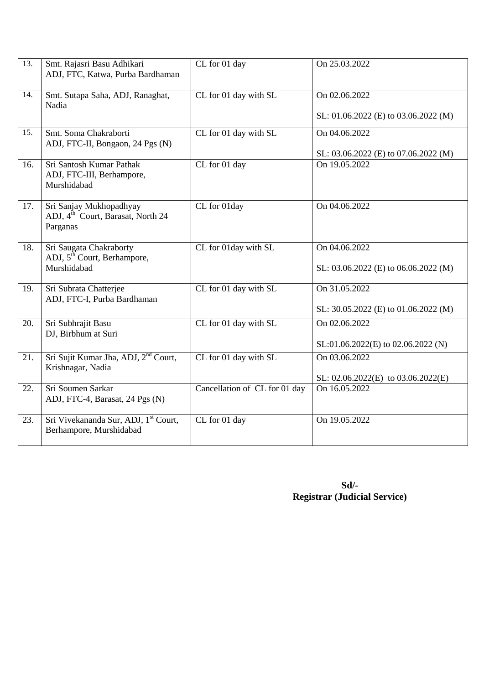| 13.               | Smt. Rajasri Basu Adhikari<br>ADJ, FTC, Katwa, Purba Bardhaman                       | CL for 01 day                 | On 25.03.2022                                             |
|-------------------|--------------------------------------------------------------------------------------|-------------------------------|-----------------------------------------------------------|
| 14.               | Smt. Sutapa Saha, ADJ, Ranaghat,<br>Nadia                                            | CL for 01 day with SL         | On 02.06.2022<br>SL: 01.06.2022 (E) to 03.06.2022 (M)     |
|                   |                                                                                      |                               |                                                           |
| $\overline{15}$ . | Smt. Soma Chakraborti                                                                | CL for 01 day with SL         | On 04.06.2022                                             |
|                   | ADJ, FTC-II, Bongaon, 24 Pgs (N)                                                     |                               | SL: 03.06.2022 (E) to 07.06.2022 (M)                      |
| 16.               | Sri Santosh Kumar Pathak<br>ADJ, FTC-III, Berhampore,<br>Murshidabad                 | CL for 01 day                 | On 19.05.2022                                             |
| 17.               | Sri Sanjay Mukhopadhyay<br>ADJ, 4 <sup>th</sup> Court, Barasat, North 24<br>Parganas | CL for 01day                  | On 04.06.2022                                             |
| 18.               | Sri Saugata Chakraborty<br>ADJ, 5 <sup>th</sup> Court, Berhampore,<br>Murshidabad    | CL for 01day with SL          | On 04.06.2022<br>SL: 03.06.2022 (E) to 06.06.2022 (M)     |
| 19.               | Sri Subrata Chatterjee<br>ADJ, FTC-I, Purba Bardhaman                                | CL for 01 day with SL         | On 31.05.2022<br>SL: 30.05.2022 (E) to 01.06.2022 (M)     |
| 20.               | Sri Subhrajit Basu<br>DJ, Birbhum at Suri                                            | CL for 01 day with SL         | On 02.06.2022<br>SL:01.06.2022(E) to 02.06.2022 (N)       |
| 21.               | Sri Sujit Kumar Jha, ADJ, 2 <sup>nd</sup> Court,<br>Krishnagar, Nadia                | CL for 01 day with SL         | On 03.06.2022<br>SL: $02.06.2022$ (E) to $03.06.2022$ (E) |
| 22.               | Sri Soumen Sarkar<br>ADJ, FTC-4, Barasat, 24 Pgs (N)                                 | Cancellation of CL for 01 day | On 16.05.2022                                             |
| 23.               | Sri Vivekananda Sur, ADJ, 1 <sup>st</sup> Court,<br>Berhampore, Murshidabad          | CL for 01 day                 | On 19.05.2022                                             |

| $Sd$ /-                             |
|-------------------------------------|
| <b>Registrar (Judicial Service)</b> |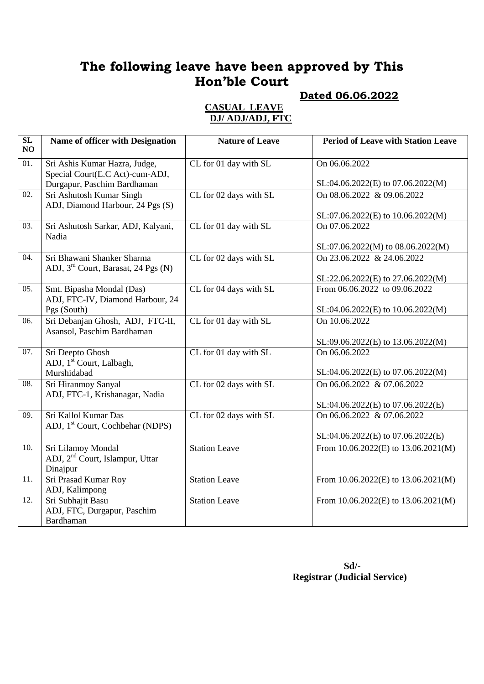## **Dated 06.06.2022**

#### **CASUAL LEAVE DJ/ ADJ/ADJ, FTC**

| $\overline{\text{SL}}$<br>NO | Name of officer with Designation                                 | <b>Nature of Leave</b> | <b>Period of Leave with Station Leave</b> |
|------------------------------|------------------------------------------------------------------|------------------------|-------------------------------------------|
| 01.                          | Sri Ashis Kumar Hazra, Judge,<br>Special Court(E.C Act)-cum-ADJ, | CL for 01 day with SL  | On 06.06.2022                             |
|                              | Durgapur, Paschim Bardhaman                                      |                        | SL:04.06.2022(E) to 07.06.2022(M)         |
| $\overline{02}$ .            | Sri Ashutosh Kumar Singh                                         | CL for 02 days with SL | On 08.06.2022 & 09.06.2022                |
|                              | ADJ, Diamond Harbour, 24 Pgs (S)                                 |                        | SL:07.06.2022(E) to 10.06.2022(M)         |
| 03.                          | Sri Ashutosh Sarkar, ADJ, Kalyani,                               | CL for 01 day with SL  | On 07.06.2022                             |
|                              | Nadia                                                            |                        |                                           |
|                              |                                                                  |                        | SL:07.06.2022(M) to 08.06.2022(M)         |
| 04.                          | Sri Bhawani Shanker Sharma                                       | CL for 02 days with SL | On 23.06.2022 & 24.06.2022                |
|                              | ADJ, 3 <sup>rd</sup> Court, Barasat, 24 Pgs (N)                  |                        |                                           |
|                              |                                                                  |                        | SL:22.06.2022(E) to 27.06.2022(M)         |
| 05.                          | Smt. Bipasha Mondal (Das)                                        | CL for 04 days with SL | From 06.06.2022 to 09.06.2022             |
|                              | ADJ, FTC-IV, Diamond Harbour, 24                                 |                        |                                           |
|                              | Pgs (South)                                                      |                        | SL:04.06.2022(E) to 10.06.2022(M)         |
| 06.                          | Sri Debanjan Ghosh, ADJ, FTC-II,                                 | CL for 01 day with SL  | On 10.06.2022                             |
|                              | Asansol, Paschim Bardhaman                                       |                        |                                           |
|                              |                                                                  |                        | SL:09.06.2022(E) to 13.06.2022(M)         |
| 07.                          | Sri Deepto Ghosh                                                 | CL for 01 day with SL  | On 06.06.2022                             |
|                              | ADJ, 1 <sup>st</sup> Court, Lalbagh,                             |                        |                                           |
|                              | Murshidabad                                                      |                        | SL:04.06.2022(E) to 07.06.2022(M)         |
| $\overline{08}$ .            | Sri Hiranmoy Sanyal                                              | CL for 02 days with SL | On 06.06.2022 & 07.06.2022                |
|                              | ADJ, FTC-1, Krishanagar, Nadia                                   |                        |                                           |
|                              |                                                                  |                        | SL:04.06.2022(E) to 07.06.2022(E)         |
| 09.                          | Sri Kallol Kumar Das                                             | CL for 02 days with SL | On 06.06.2022 & 07.06.2022                |
|                              | ADJ, 1 <sup>st</sup> Court, Cochbehar (NDPS)                     |                        |                                           |
|                              |                                                                  |                        | SL:04.06.2022(E) to 07.06.2022(E)         |
| 10.                          | Sri Lilamoy Mondal                                               | <b>Station Leave</b>   | From $10.06.2022(E)$ to $13.06.2021(M)$   |
|                              | ADJ, 2 <sup>nd</sup> Court, Islampur, Uttar                      |                        |                                           |
| 11.                          | Dinajpur<br>Sri Prasad Kumar Roy                                 | <b>Station Leave</b>   | From 10.06.2022(E) to 13.06.2021(M)       |
|                              | ADJ, Kalimpong                                                   |                        |                                           |
| 12.                          | Sri Subhajit Basu                                                | <b>Station Leave</b>   | From 10.06.2022(E) to 13.06.2021(M)       |
|                              | ADJ, FTC, Durgapur, Paschim                                      |                        |                                           |
|                              | Bardhaman                                                        |                        |                                           |
|                              |                                                                  |                        |                                           |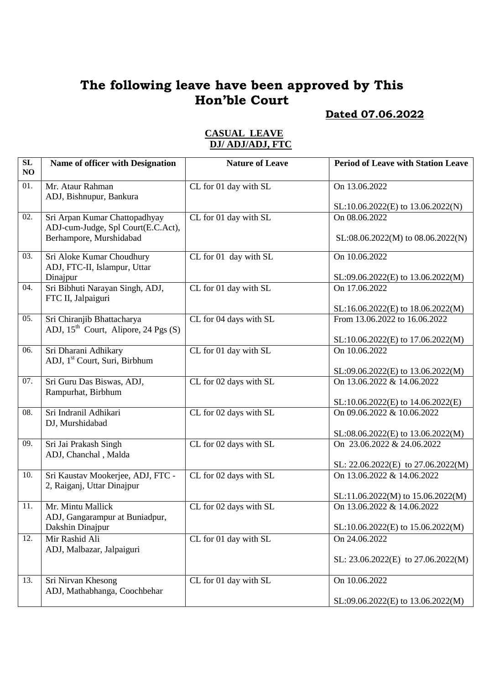## **Dated 07.06.2022**

| SL<br>NO | Name of officer with Designation                                     | <b>Nature of Leave</b> | <b>Period of Leave with Station Leave</b> |
|----------|----------------------------------------------------------------------|------------------------|-------------------------------------------|
| 01.      | Mr. Ataur Rahman<br>ADJ, Bishnupur, Bankura                          | CL for 01 day with SL  | On 13.06.2022                             |
|          |                                                                      |                        | SL:10.06.2022(E) to 13.06.2022(N)         |
| 02.      | Sri Arpan Kumar Chattopadhyay<br>ADJ-cum-Judge, Spl Court(E.C.Act),  | CL for 01 day with SL  | On 08.06.2022                             |
|          | Berhampore, Murshidabad                                              |                        | $SL:08.06.2022(M)$ to $08.06.2022(N)$     |
| 03.      | Sri Aloke Kumar Choudhury<br>ADJ, FTC-II, Islampur, Uttar            | CL for 01 day with SL  | On 10.06.2022                             |
|          | Dinajpur                                                             |                        | SL:09.06.2022(E) to 13.06.2022(M)         |
| 04.      | Sri Bibhuti Narayan Singh, ADJ,<br>FTC II, Jalpaiguri                | CL for 01 day with SL  | On 17.06.2022                             |
|          |                                                                      |                        | SL:16.06.2022(E) to 18.06.2022(M)         |
| 05.      | Sri Chiranjib Bhattacharya<br>ADJ, $15th$ Court, Alipore, 24 Pgs (S) | CL for 04 days with SL | From 13.06.2022 to 16.06.2022             |
|          |                                                                      |                        | SL:10.06.2022(E) to 17.06.2022(M)         |
| 06.      | Sri Dharani Adhikary<br>ADJ, 1 <sup>st</sup> Court, Suri, Birbhum    | CL for 01 day with SL  | On 10.06.2022                             |
|          |                                                                      |                        | $SL:09.06.2022(E)$ to 13.06.2022(M)       |
| 07.      | Sri Guru Das Biswas, ADJ,<br>Rampurhat, Birbhum                      | CL for 02 days with SL | On 13.06.2022 & 14.06.2022                |
|          |                                                                      |                        | SL:10.06.2022(E) to 14.06.2022(E)         |
| 08.      | Sri Indranil Adhikari<br>DJ, Murshidabad                             | CL for 02 days with SL | On 09.06.2022 & 10.06.2022                |
|          |                                                                      |                        | SL:08.06.2022(E) to 13.06.2022(M)         |
| 09.      | Sri Jai Prakash Singh<br>ADJ, Chanchal, Malda                        | CL for 02 days with SL | On 23.06.2022 & 24.06.2022                |
|          |                                                                      |                        | SL: $22.06.2022(E)$ to $27.06.2022(M)$    |
| 10.      | Sri Kaustav Mookerjee, ADJ, FTC -<br>2, Raiganj, Uttar Dinajpur      | CL for 02 days with SL | On 13.06.2022 & 14.06.2022                |
|          |                                                                      |                        | SL:11.06.2022(M) to 15.06.2022(M)         |
| 11.      | Mr. Mintu Mallick<br>ADJ, Gangarampur at Buniadpur,                  | CL for 02 days with SL | On 13.06.2022 & 14.06.2022                |
|          | Dakshin Dinajpur                                                     |                        | SL:10.06.2022(E) to 15.06.2022(M)         |
| 12.      | Mir Rashid Ali<br>ADJ, Malbazar, Jalpaiguri                          | CL for 01 day with SL  | On 24.06.2022                             |
|          |                                                                      |                        | SL: $23.06.2022(E)$ to $27.06.2022(M)$    |
| 13.      | Sri Nirvan Khesong                                                   | CL for 01 day with SL  | On 10.06.2022                             |
|          | ADJ, Mathabhanga, Coochbehar                                         |                        |                                           |
|          |                                                                      |                        | SL:09.06.2022(E) to 13.06.2022(M)         |

#### **CASUAL LEAVE DJ/ ADJ/ADJ, FTC**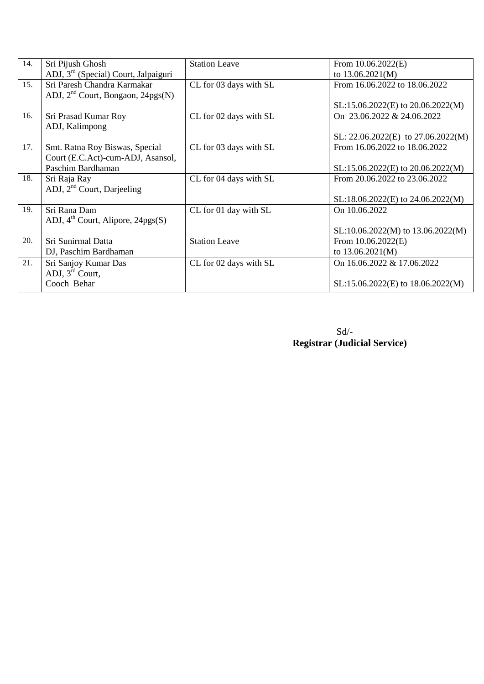| 14. | Sri Pijush Ghosh                                        | <b>Station Leave</b>   | From $10.06.2022(E)$                   |
|-----|---------------------------------------------------------|------------------------|----------------------------------------|
|     | ADJ, 3 <sup>rd</sup> (Special) Court, Jalpaiguri        |                        | to $13.06.2021(M)$                     |
| 15. | Sri Paresh Chandra Karmakar                             | CL for 03 days with SL | From 16.06.2022 to 18.06.2022          |
|     | ADJ, $2nd$ Court, Bongaon, $24pgs(N)$                   |                        |                                        |
|     |                                                         |                        | $SL:15.06.2022(E)$ to 20.06.2022(M)    |
| 16. | Sri Prasad Kumar Roy                                    | CL for 02 days with SL | On 23.06.2022 & 24.06.2022             |
|     | ADJ, Kalimpong                                          |                        |                                        |
|     |                                                         |                        | SL: $22.06.2022(E)$ to $27.06.2022(M)$ |
| 17. | Smt. Ratna Roy Biswas, Special                          | CL for 03 days with SL | From 16.06.2022 to 18.06.2022          |
|     | Court (E.C.Act)-cum-ADJ, Asansol,                       |                        |                                        |
|     | Paschim Bardhaman                                       |                        | SL:15.06.2022(E) to 20.06.2022(M)      |
| 18. | Sri Raja Ray                                            | CL for 04 days with SL | From 20.06.2022 to 23.06.2022          |
|     | ADJ, 2 <sup>nd</sup> Court, Darjeeling                  |                        |                                        |
|     |                                                         |                        | $SL:18.06.2022(E)$ to 24.06.2022(M)    |
| 19. | Sri Rana Dam                                            | CL for 01 day with SL  | On 10.06.2022                          |
|     | ADJ, $4^{\text{th}}$ Court, Alipore, $24 \text{pgs}(S)$ |                        |                                        |
|     |                                                         |                        | $SL:10.06.2022(M)$ to 13.06.2022(M)    |
| 20. | Sri Sunirmal Datta                                      | <b>Station Leave</b>   | From $10.06.2022(E)$                   |
|     | DJ, Paschim Bardhaman                                   |                        | to $13.06.2021(M)$                     |
| 21. | Sri Sanjoy Kumar Das                                    | CL for 02 days with SL | On 16.06.2022 & 17.06.2022             |
|     | ADJ, $3rd$ Court,                                       |                        |                                        |
|     | Cooch Behar                                             |                        | $SL:15.06.2022(E)$ to $18.06.2022(M)$  |
|     |                                                         |                        |                                        |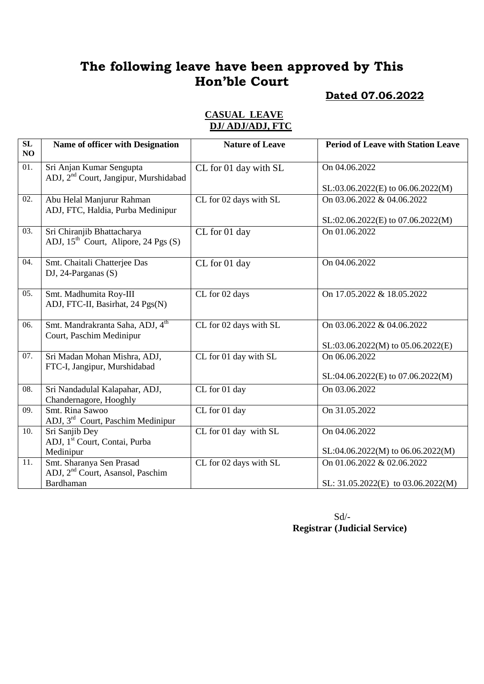## **Dated 07.06.2022**

#### **CASUAL LEAVE DJ/ ADJ/ADJ, FTC**

| SL<br>NO          | Name of officer with Designation                                              | <b>Nature of Leave</b>            | <b>Period of Leave with Station Leave</b>          |
|-------------------|-------------------------------------------------------------------------------|-----------------------------------|----------------------------------------------------|
| $\overline{01}$ . | Sri Anjan Kumar Sengupta<br>ADJ, 2 <sup>nd</sup> Court, Jangipur, Murshidabad | CL for 01 day with SL             | On 04.06.2022                                      |
|                   |                                                                               |                                   | $SL: 03.06.2022(E)$ to 06.06.2022(M)               |
| 02.               | Abu Helal Manjurur Rahman<br>ADJ, FTC, Haldia, Purba Medinipur                | CL for 02 days with SL            | On 03.06.2022 & 04.06.2022                         |
|                   |                                                                               |                                   | SL:02.06.2022(E) to 07.06.2022(M)                  |
| 03.               | Sri Chiranjib Bhattacharya<br>ADJ, $15th$ Court, Alipore, 24 Pgs (S)          | CL for 01 day                     | On 01.06.2022                                      |
| 04.               | Smt. Chaitali Chatterjee Das<br>DJ, 24-Parganas $(S)$                         | CL for 01 day                     | On 04.06.2022                                      |
| 05.               | Smt. Madhumita Roy-III<br>ADJ, FTC-II, Basirhat, 24 Pgs(N)                    | CL for 02 days                    | On 17.05.2022 & 18.05.2022                         |
| 06.               | Smt. Mandrakranta Saha, ADJ, 4 <sup>th</sup><br>Court, Paschim Medinipur      | CL for 02 days with SL            | On 03.06.2022 & 04.06.2022                         |
| 07.               | Sri Madan Mohan Mishra, ADJ,                                                  | CL for 01 day with SL             | SL:03.06.2022(M) to 05.06.2022(E)<br>On 06.06.2022 |
|                   | FTC-I, Jangipur, Murshidabad                                                  |                                   |                                                    |
|                   |                                                                               |                                   | SL:04.06.2022(E) to 07.06.2022(M)                  |
| $\overline{08}$ . | Sri Nandadulal Kalapahar, ADJ,<br>Chandernagore, Hooghly                      | CL for 01 day                     | On 03.06.2022                                      |
| 09.               | Smt. Rina Sawoo<br>ADJ, 3 <sup>rd</sup> Court, Paschim Medinipur              | $\overline{\text{CL}}$ for 01 day | On 31.05.2022                                      |
| 10.               | Sri Sanjib Dey                                                                | CL for 01 day with SL             | On 04.06.2022                                      |
|                   | ADJ, 1 <sup>st</sup> Court, Contai, Purba                                     |                                   |                                                    |
|                   | Medinipur                                                                     |                                   | SL:04.06.2022(M) to 06.06.2022(M)                  |
| 11.               | Smt. Sharanya Sen Prasad                                                      | CL for 02 days with SL            | On 01.06.2022 & 02.06.2022                         |
|                   | ADJ, 2 <sup>nd</sup> Court, Asansol, Paschim                                  |                                   |                                                    |
|                   | Bardhaman                                                                     |                                   | SL: $31.05.2022(E)$ to $03.06.2022(M)$             |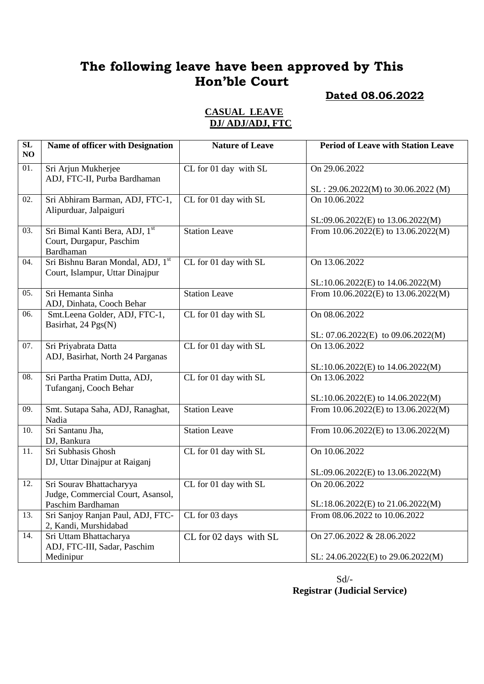#### **Dated 08.06.2022**

#### **CASUAL LEAVE DJ/ ADJ/ADJ, FTC**

| $\overline{\text{SL}}$<br>NO | Name of officer with Designation                                        | <b>Nature of Leave</b> | <b>Period of Leave with Station Leave</b> |
|------------------------------|-------------------------------------------------------------------------|------------------------|-------------------------------------------|
| 01.                          | Sri Arjun Mukherjee<br>ADJ, FTC-II, Purba Bardhaman                     | CL for 01 day with SL  | $\overline{On}$ 29.06.2022                |
|                              |                                                                         |                        | $SL: 29.06.2022(M)$ to 30.06.2022 (M)     |
| $\overline{02}$ .            | Sri Abhiram Barman, ADJ, FTC-1,<br>Alipurduar, Jalpaiguri               | CL for 01 day with SL  | On 10.06.2022                             |
|                              |                                                                         |                        | SL:09.06.2022(E) to 13.06.2022(M)         |
| 03.                          | Sri Bimal Kanti Bera, ADJ, 1st<br>Court, Durgapur, Paschim<br>Bardhaman | <b>Station Leave</b>   | From 10.06.2022(E) to 13.06.2022(M)       |
| 04.                          | Sri Bishnu Baran Mondal, ADJ, 1st<br>Court, Islampur, Uttar Dinajpur    | CL for 01 day with SL  | On 13.06.2022                             |
|                              |                                                                         |                        | SL:10.06.2022(E) to 14.06.2022(M)         |
| 05.                          | Sri Hemanta Sinha<br>ADJ, Dinhata, Cooch Behar                          | <b>Station Leave</b>   | From 10.06.2022(E) to 13.06.2022(M)       |
| 06.                          | Smt.Leena Golder, ADJ, FTC-1,<br>Basirhat, 24 Pgs(N)                    | CL for 01 day with SL  | On 08.06.2022                             |
|                              |                                                                         |                        | SL: 07.06.2022(E) to 09.06.2022(M)        |
| 07.                          | Sri Priyabrata Datta<br>ADJ, Basirhat, North 24 Parganas                | CL for 01 day with SL  | On 13.06.2022                             |
|                              |                                                                         |                        | SL:10.06.2022(E) to 14.06.2022(M)         |
| 08.                          | Sri Partha Pratim Dutta, ADJ,<br>Tufanganj, Cooch Behar                 | CL for 01 day with SL  | On 13.06.2022                             |
|                              |                                                                         |                        | SL:10.06.2022(E) to 14.06.2022(M)         |
| 09.                          | Smt. Sutapa Saha, ADJ, Ranaghat,<br>Nadia                               | <b>Station Leave</b>   | From 10.06.2022(E) to 13.06.2022(M)       |
| $\overline{10}$ .            | Sri Santanu Jha,<br>DJ, Bankura                                         | <b>Station Leave</b>   | From 10.06.2022(E) to 13.06.2022(M)       |
| 11.                          | Sri Subhasis Ghosh<br>DJ, Uttar Dinajpur at Raiganj                     | CL for 01 day with SL  | On 10.06.2022                             |
|                              |                                                                         |                        | SL:09.06.2022(E) to 13.06.2022(M)         |
| 12.                          | Sri Sourav Bhattacharyya                                                | CL for 01 day with SL  | On 20.06.2022                             |
|                              | Judge, Commercial Court, Asansol,<br>Paschim Bardhaman                  |                        | SL:18.06.2022(E) to 21.06.2022(M)         |
| $\overline{13}$ .            | Sri Sanjoy Ranjan Paul, ADJ, FTC-<br>2, Kandi, Murshidabad              | CL for 03 days         | From 08.06.2022 to 10.06.2022             |
| 14.                          | Sri Uttam Bhattacharya<br>ADJ, FTC-III, Sadar, Paschim                  | CL for 02 days with SL | On 27.06.2022 & 28.06.2022                |
|                              | Medinipur                                                               |                        | SL: 24.06.2022(E) to 29.06.2022(M)        |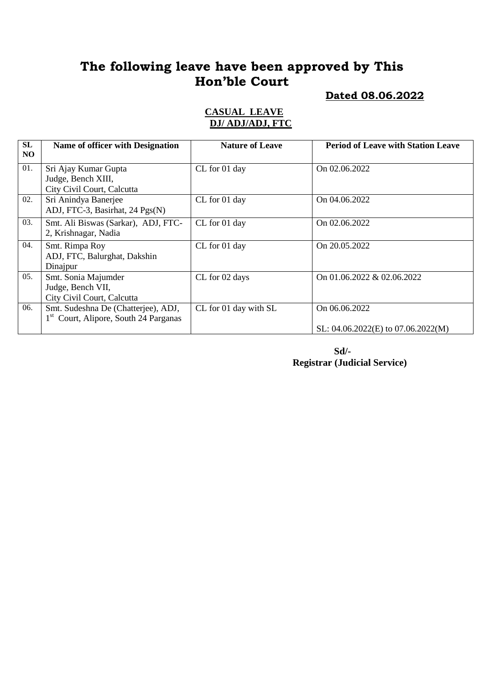**Dated 08.06.2022**

#### **CASUAL LEAVE DJ/ ADJ/ADJ, FTC**

| SL<br>N <sub>O</sub> | Name of officer with Designation                                                         | <b>Nature of Leave</b> | <b>Period of Leave with Station Leave</b>                 |
|----------------------|------------------------------------------------------------------------------------------|------------------------|-----------------------------------------------------------|
| 01.                  | Sri Ajay Kumar Gupta<br>Judge, Bench XIII,<br>City Civil Court, Calcutta                 | CL for 01 day          | On 02.06.2022                                             |
| 02.                  | Sri Anindya Banerjee<br>ADJ, FTC-3, Basirhat, 24 Pgs(N)                                  | CL for 01 day          | On 04.06.2022                                             |
| 03.                  | Smt. Ali Biswas (Sarkar), ADJ, FTC-<br>2, Krishnagar, Nadia                              | CL for 01 day          | On 02.06.2022                                             |
| 04.                  | Smt. Rimpa Roy<br>ADJ, FTC, Balurghat, Dakshin<br>Dinajpur                               | CL for 01 day          | On 20.05.2022                                             |
| 05.                  | Smt. Sonia Majumder<br>Judge, Bench VII,<br>City Civil Court, Calcutta                   | CL for 02 days         | On 01.06.2022 & 02.06.2022                                |
| 06.                  | Smt. Sudeshna De (Chatterjee), ADJ,<br>1 <sup>st</sup> Court, Alipore, South 24 Parganas | CL for 01 day with SL  | On 06.06.2022<br>SL: $04.06.2022$ (E) to $07.06.2022$ (M) |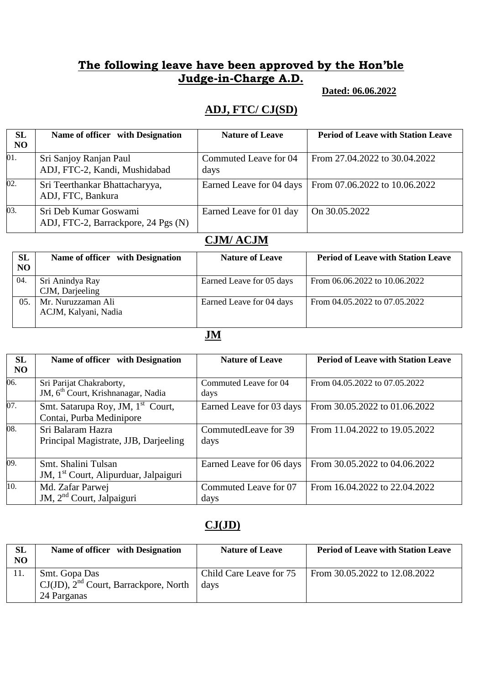#### **Dated: 06.06.2022**

#### **ADJ, FTC/ CJ(SD)**

| SL                | Name of officer with Designation                             | <b>Nature of Leave</b>        | <b>Period of Leave with Station Leave</b> |
|-------------------|--------------------------------------------------------------|-------------------------------|-------------------------------------------|
| N <sub>O</sub>    |                                                              |                               |                                           |
| 01.               | Sri Sanjoy Ranjan Paul<br>ADJ, FTC-2, Kandi, Mushidabad      | Commuted Leave for 04<br>days | From 27.04.2022 to 30.04.2022             |
| $\overline{02}$ . | Sri Teerthankar Bhattacharyya,<br>ADJ, FTC, Bankura          | Earned Leave for 04 days      | From 07.06.2022 to 10.06.2022             |
| 03.               | Sri Deb Kumar Goswami<br>ADJ, FTC-2, Barrackpore, 24 Pgs (N) | Earned Leave for 01 day       | On 30.05.2022                             |

# **CJM/ ACJM**

| <b>SL</b><br>NO | Name of officer with Designation           | <b>Nature of Leave</b>   | <b>Period of Leave with Station Leave</b> |
|-----------------|--------------------------------------------|--------------------------|-------------------------------------------|
| 04.             | Sri Anindya Ray<br>CJM, Darjeeling         | Earned Leave for 05 days | From 06.06.2022 to 10.06.2022             |
| 05.             | Mr. Nuruzzaman Ali<br>ACJM, Kalyani, Nadia | Earned Leave for 04 days | From 04.05.2022 to 07.05.2022             |

## **JM**

| <b>SL</b><br>N <sub>O</sub> | Name of officer with Designation                                           | <b>Nature of Leave</b>        | <b>Period of Leave with Station Leave</b> |
|-----------------------------|----------------------------------------------------------------------------|-------------------------------|-------------------------------------------|
| 06.                         | Sri Parijat Chakraborty,<br>JM, 6 <sup>th</sup> Court, Krishnanagar, Nadia | Commuted Leave for 04<br>days | From 04.05.2022 to 07.05.2022             |
| 07.                         | Smt. Satarupa Roy, JM, 1 <sup>st</sup> Court,<br>Contai, Purba Medinipore  | Earned Leave for 03 days      | From 30.05.2022 to 01.06.2022             |
| 08.                         | Sri Balaram Hazra<br>Principal Magistrate, JJB, Darjeeling                 | CommutedLeave for 39<br>days  | From 11.04.2022 to 19.05.2022             |
| 09.                         | Smt. Shalini Tulsan<br>JM, 1 <sup>st</sup> Court, Alipurduar, Jalpaiguri   | Earned Leave for 06 days      | From 30.05.2022 to 04.06.2022             |
| $\overline{10}$ .           | Md. Zafar Parwej<br>JM, 2 <sup>nd</sup> Court, Jalpaiguri                  | Commuted Leave for 07<br>days | From 16.04.2022 to 22.04.2022             |

## **CJ(JD)**

| SL<br>NO | Name of officer with Designation                                                         | <b>Nature of Leave</b>          | <b>Period of Leave with Station Leave</b> |
|----------|------------------------------------------------------------------------------------------|---------------------------------|-------------------------------------------|
|          | Smt. Gopa Das<br>$\int$ CJ(JD), 2 <sup>nd</sup> Court, Barrackpore, North<br>24 Parganas | Child Care Leave for 75<br>days | From 30.05.2022 to 12.08.2022             |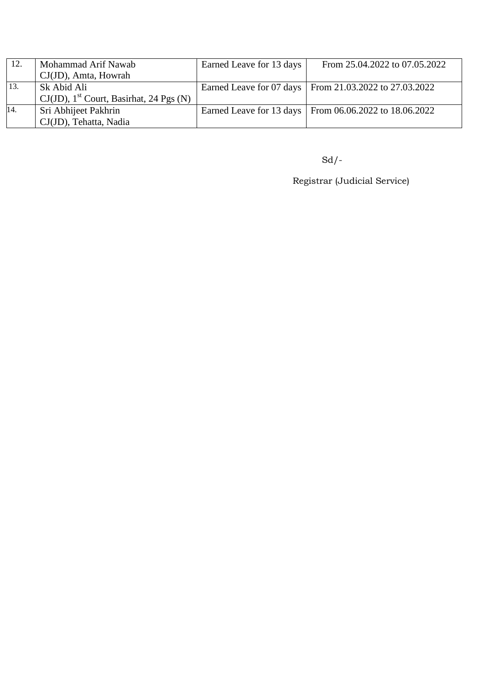| 12. | Mohammad Arif Nawab                                    | Earned Leave for 13 days | From 25.04.2022 to 07.05.2022                            |
|-----|--------------------------------------------------------|--------------------------|----------------------------------------------------------|
|     | $CJ(JD)$ , Amta, Howrah                                |                          |                                                          |
| 13. | Sk Abid Ali                                            |                          | Earned Leave for 07 days   From 21.03.2022 to 27.03.2022 |
|     | $CJ(JD)$ , 1 <sup>st</sup> Court, Basirhat, 24 Pgs (N) |                          |                                                          |
| 14. | Sri Abhijeet Pakhrin                                   |                          | Earned Leave for 13 days   From 06.06.2022 to 18.06.2022 |
|     | CJ(JD), Tehatta, Nadia                                 |                          |                                                          |

Sd/-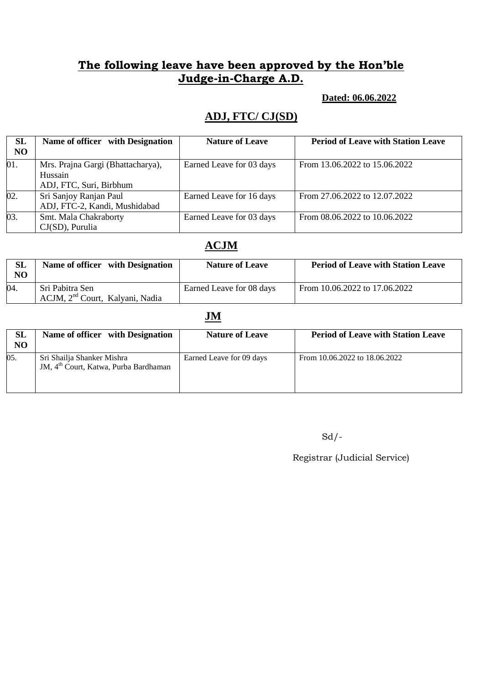#### **Dated: 06.06.2022**

# **ADJ, FTC/ CJ(SD)**

| SL<br>N <sub>O</sub> | Name of officer with Designation                                        | <b>Nature of Leave</b>   | <b>Period of Leave with Station Leave</b> |
|----------------------|-------------------------------------------------------------------------|--------------------------|-------------------------------------------|
| 01.                  | Mrs. Prajna Gargi (Bhattacharya),<br>Hussain<br>ADJ, FTC, Suri, Birbhum | Earned Leave for 03 days | From 13.06.2022 to 15.06.2022             |
| $\overline{02}$ .    | Sri Sanjoy Ranjan Paul<br>ADJ, FTC-2, Kandi, Mushidabad                 | Earned Leave for 16 days | From 27.06.2022 to 12.07.2022             |
| $\overline{03}$ .    | Smt. Mala Chakraborty<br>$CJ(SD)$ , Purulia                             | Earned Leave for 03 days | From 08.06.2022 to 10.06.2022             |

## **ACJM**

| <b>SL</b><br>NO | Name of officer with Designation                               | <b>Nature of Leave</b>   | <b>Period of Leave with Station Leave</b> |
|-----------------|----------------------------------------------------------------|--------------------------|-------------------------------------------|
| 04.             | Sri Pabitra Sen<br>ACJM, 2 <sup>nd</sup> Court, Kalyani, Nadia | Earned Leave for 08 days | From 10.06.2022 to 17.06.2022             |

## **JM**

| <b>SL</b><br>N <sub>O</sub> | Name of officer with Designation                                                | <b>Nature of Leave</b>   | <b>Period of Leave with Station Leave</b> |
|-----------------------------|---------------------------------------------------------------------------------|--------------------------|-------------------------------------------|
| 05.                         | Sri Shailja Shanker Mishra<br>JM, 4 <sup>th</sup> Court, Katwa, Purba Bardhaman | Earned Leave for 09 days | From 10.06.2022 to 18.06.2022             |

 $Sd$  /-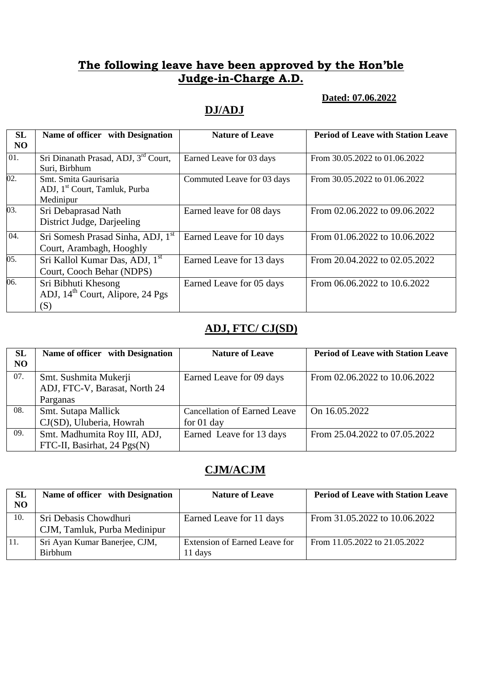#### **Dated: 07.06.2022**

#### **DJ/ADJ**

| <b>SL</b> | Name of officer with Designation                                                | <b>Nature of Leave</b>     | <b>Period of Leave with Station Leave</b> |
|-----------|---------------------------------------------------------------------------------|----------------------------|-------------------------------------------|
| NO        |                                                                                 |                            |                                           |
| 01.       | Sri Dinanath Prasad, ADJ, 3 <sup>rd</sup> Court,<br>Suri, Birbhum               | Earned Leave for 03 days   | From 30.05.2022 to 01.06.2022             |
| 02.       | Smt. Smita Gaurisaria<br>ADJ, 1 <sup>st</sup> Court, Tamluk, Purba<br>Medinipur | Commuted Leave for 03 days | From 30.05.2022 to 01.06.2022             |
| 03.       | Sri Debaprasad Nath<br>District Judge, Darjeeling                               | Earned leave for 08 days   | From 02.06.2022 to 09.06.2022             |
| 04.       | Sri Somesh Prasad Sinha, ADJ, 1 <sup>st</sup><br>Court, Arambagh, Hooghly       | Earned Leave for 10 days   | From 01.06.2022 to 10.06.2022             |
| 05.       | Sri Kallol Kumar Das, ADJ, 1 <sup>st</sup><br>Court, Cooch Behar (NDPS)         | Earned Leave for 13 days   | From 20.04.2022 to 02.05.2022             |
| 06.       | Sri Bibhuti Khesong<br>ADJ, 14 <sup>th</sup> Court, Alipore, 24 Pgs<br>(S)      | Earned Leave for 05 days   | From 06.06.2022 to 10.6.2022              |

## **ADJ, FTC/ CJ(SD)**

| SL<br>NO | Name of officer with Designation                            | <b>Nature of Leave</b>                       | <b>Period of Leave with Station Leave</b> |
|----------|-------------------------------------------------------------|----------------------------------------------|-------------------------------------------|
| 07.      | Smt. Sushmita Mukerji<br>ADJ, FTC-V, Barasat, North 24      | Earned Leave for 09 days                     | From 02.06.2022 to 10.06.2022             |
|          | Parganas                                                    |                                              |                                           |
| 08.      | Smt. Sutapa Mallick<br>CJ(SD), Uluberia, Howrah             | Cancellation of Earned Leave<br>for $01$ day | On 16.05.2022                             |
| 09.      | Smt. Madhumita Roy III, ADJ,<br>FTC-II, Basirhat, 24 Pgs(N) | Earned Leave for 13 days                     | From 25.04.2022 to 07.05.2022             |

## **CJM/ACJM**

| SL<br>NO | Name of officer with Designation                      | <b>Nature of Leave</b>                   | <b>Period of Leave with Station Leave</b> |
|----------|-------------------------------------------------------|------------------------------------------|-------------------------------------------|
| 10.      | Sri Debasis Chowdhuri<br>CJM, Tamluk, Purba Medinipur | Earned Leave for 11 days                 | From 31.05.2022 to 10.06.2022             |
| 11.      | Sri Ayan Kumar Banerjee, CJM,<br><b>Birbhum</b>       | Extension of Earned Leave for<br>11 days | From 11.05.2022 to 21.05.2022             |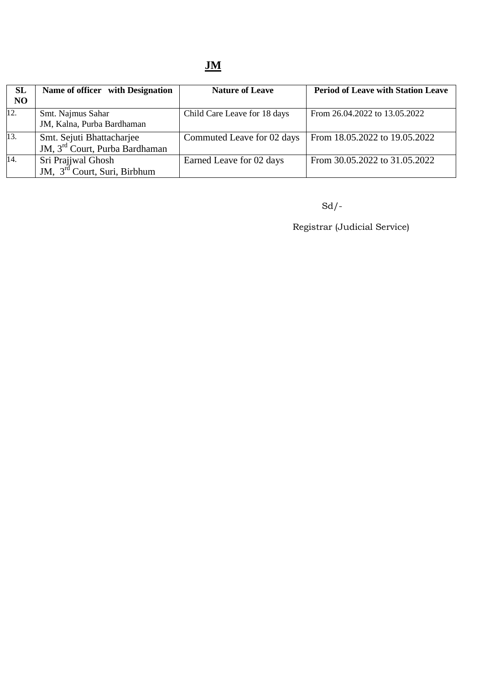| <b>SL</b><br>N <sub>O</sub> | Name of officer with Designation                                        | <b>Nature of Leave</b>       | <b>Period of Leave with Station Leave</b> |
|-----------------------------|-------------------------------------------------------------------------|------------------------------|-------------------------------------------|
| 12.                         | Smt. Najmus Sahar<br>JM, Kalna, Purba Bardhaman                         | Child Care Leave for 18 days | From 26.04.2022 to 13.05.2022             |
| 13.                         | Smt. Sejuti Bhattacharjee<br>JM, 3 <sup>rd</sup> Court, Purba Bardhaman | Commuted Leave for 02 days   | From 18.05.2022 to 19.05.2022             |
| 14.                         | Sri Prajjwal Ghosh<br>JM, 3 <sup>rd</sup> Court, Suri, Birbhum          | Earned Leave for 02 days     | From 30.05.2022 to 31.05.2022             |

Sd/-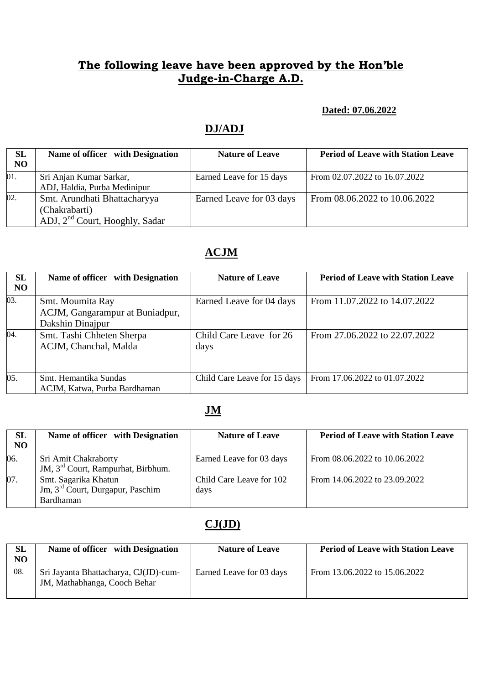#### **Dated: 07.06.2022**

#### **DJ/ADJ**

| SL<br>N <sub>O</sub> | Name of officer with Designation                                                            | <b>Nature of Leave</b>   | <b>Period of Leave with Station Leave</b> |
|----------------------|---------------------------------------------------------------------------------------------|--------------------------|-------------------------------------------|
| 01.                  | Sri Anjan Kumar Sarkar,<br>ADJ, Haldia, Purba Medinipur                                     | Earned Leave for 15 days | From 02.07.2022 to 16.07.2022             |
| $\overline{02}$ .    | Smt. Arundhati Bhattacharyya<br>(Chakrabarti)<br>ADJ, 2 <sup>nd</sup> Court, Hooghly, Sadar | Earned Leave for 03 days | From 08.06.2022 to 10.06.2022             |

# **ACJM**

| SL        | Name of officer with Designation | <b>Nature of Leave</b>       | <b>Period of Leave with Station Leave</b> |
|-----------|----------------------------------|------------------------------|-------------------------------------------|
| <b>NO</b> |                                  |                              |                                           |
| 03.       | Smt. Moumita Ray                 | Earned Leave for 04 days     | From 11.07.2022 to 14.07.2022             |
|           | ACJM, Gangarampur at Buniadpur,  |                              |                                           |
|           | Dakshin Dinajpur                 |                              |                                           |
| 04.       | Smt. Tashi Chheten Sherpa        | Child Care Leave for 26      | From 27.06.2022 to 22.07.2022             |
|           | ACJM, Chanchal, Malda            | days                         |                                           |
|           |                                  |                              |                                           |
|           |                                  |                              |                                           |
| 05.       | Smt. Hemantika Sundas            | Child Care Leave for 15 days | From 17.06.2022 to 01.07.2022             |
|           | ACJM, Katwa, Purba Bardhaman     |                              |                                           |

# **JM**

| SL<br>NO | Name of officer with Designation                                                  | <b>Nature of Leave</b>           | <b>Period of Leave with Station Leave</b> |
|----------|-----------------------------------------------------------------------------------|----------------------------------|-------------------------------------------|
| 06.      | Sri Amit Chakraborty<br>JM, 3 <sup>rd</sup> Court, Rampurhat, Birbhum.            | Earned Leave for 03 days         | From $08.06.2022$ to $10.06.2022$         |
| 07.      | Smt. Sagarika Khatun<br>Jm, 3 <sup>rd</sup> Court, Durgapur, Paschim<br>Bardhaman | Child Care Leave for 102<br>days | From 14.06.2022 to 23.09.2022             |

## **CJ(JD)**

| SL<br>NO | Name of officer with Designation                                      | <b>Nature of Leave</b>   | <b>Period of Leave with Station Leave</b> |
|----------|-----------------------------------------------------------------------|--------------------------|-------------------------------------------|
| 08.      | Sri Jayanta Bhattacharya, CJ(JD)-cum-<br>JM, Mathabhanga, Cooch Behar | Earned Leave for 03 days | From 13.06.2022 to 15.06.2022             |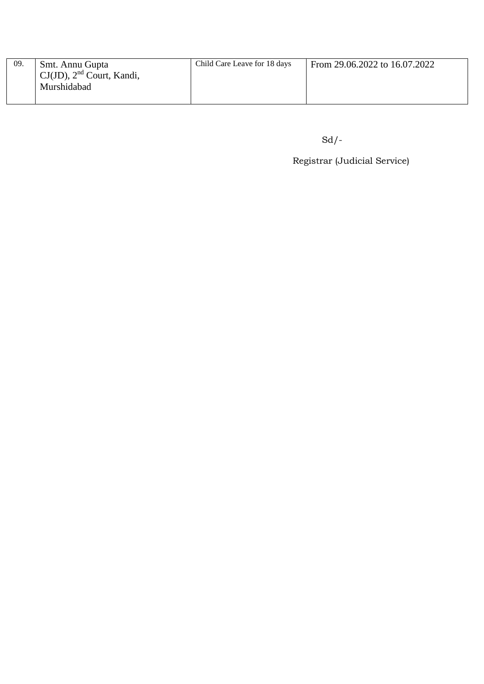| -09. | Smt. Annu Gupta                | Child Care Leave for 18 days | From 29.06.2022 to 16.07.2022 |
|------|--------------------------------|------------------------------|-------------------------------|
|      | $CJ(JD)$ , $2nd$ Court, Kandi, |                              |                               |
|      | Murshidabad                    |                              |                               |
|      |                                |                              |                               |

Sd/-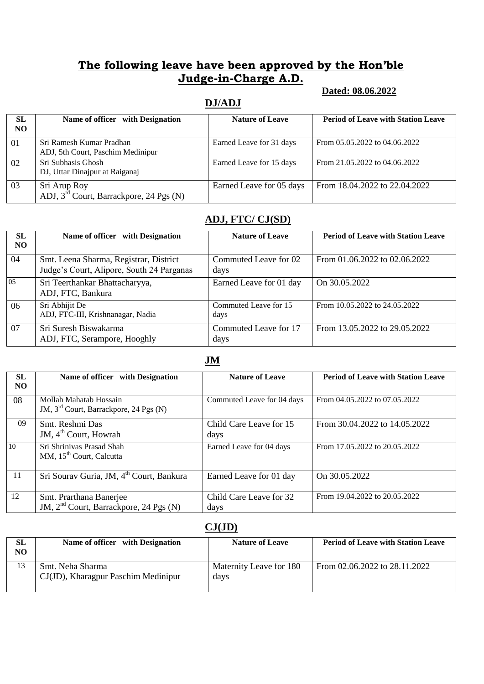#### **Dated: 08.06.2022**

#### **DJ/ADJ**

| <b>SL</b><br>NO. | Name of officer with Designation                                    | <b>Nature of Leave</b>   | <b>Period of Leave with Station Leave</b> |
|------------------|---------------------------------------------------------------------|--------------------------|-------------------------------------------|
| 01               | Sri Ramesh Kumar Pradhan<br>ADJ, 5th Court, Paschim Medinipur       | Earned Leave for 31 days | From 05.05.2022 to 04.06.2022             |
| 02               | Sri Subhasis Ghosh<br>DJ, Uttar Dinajpur at Raiganaj                | Earned Leave for 15 days | From 21.05.2022 to 04.06.2022             |
| 03               | Sri Arup Roy<br>ADJ, 3 <sup>rd</sup> Court, Barrackpore, 24 Pgs (N) | Earned Leave for 05 days | From 18.04.2022 to 22.04.2022             |

#### **ADJ, FTC/ CJ(SD)**

| <b>SL</b><br>NO. | Name of officer with Designation                                                    | <b>Nature of Leave</b>        | <b>Period of Leave with Station Leave</b> |
|------------------|-------------------------------------------------------------------------------------|-------------------------------|-------------------------------------------|
| 04               | Smt. Leena Sharma, Registrar, District<br>Judge's Court, Alipore, South 24 Parganas | Commuted Leave for 02<br>days | From $01.06.2022$ to $02.06.2022$         |
| 05               | Sri Teerthankar Bhattacharyya,<br>ADJ, FTC, Bankura                                 | Earned Leave for 01 day       | On 30.05.2022                             |
| 06               | Sri Abhijit De<br>ADJ, FTC-III, Krishnanagar, Nadia                                 | Commuted Leave for 15<br>days | From 10.05.2022 to 24.05.2022             |
| 07               | Sri Suresh Biswakarma<br>ADJ, FTC, Serampore, Hooghly                               | Commuted Leave for 17<br>days | From 13.05.2022 to 29.05.2022             |

**JM**

| <b>SL</b><br>NO. | Name of officer with Designation                                              | <b>Nature of Leave</b>          | <b>Period of Leave with Station Leave</b> |
|------------------|-------------------------------------------------------------------------------|---------------------------------|-------------------------------------------|
| 08               | Mollah Mahatab Hossain<br>JM, 3 <sup>rd</sup> Court, Barrackpore, 24 Pgs (N)  | Commuted Leave for 04 days      | From 04.05.2022 to 07.05.2022             |
| 09               | Smt. Reshmi Das<br>JM, 4 <sup>th</sup> Court, Howrah                          | Child Care Leave for 15<br>days | From 30.04.2022 to 14.05.2022             |
| 10               | Sri Shrinivas Prasad Shah<br>MM, 15 <sup>th</sup> Court, Calcutta             | Earned Leave for 04 days        | From 17.05.2022 to 20.05.2022             |
| 11               | Sri Sourav Guria, JM, 4 <sup>th</sup> Court, Bankura                          | Earned Leave for 01 day         | On 30.05.2022                             |
| 12               | Smt. Prarthana Banerjee<br>JM, 2 <sup>nd</sup> Court, Barrackpore, 24 Pgs (N) | Child Care Leave for 32<br>days | From 19.04.2022 to 20.05.2022             |

#### **CJ(JD)**

| SL<br>NO. | Name of officer with Designation                        | <b>Nature of Leave</b>          | <b>Period of Leave with Station Leave</b> |
|-----------|---------------------------------------------------------|---------------------------------|-------------------------------------------|
|           | Smt. Neha Sharma<br>CJ(JD), Kharagpur Paschim Medinipur | Maternity Leave for 180<br>days | From 02.06.2022 to 28.11.2022             |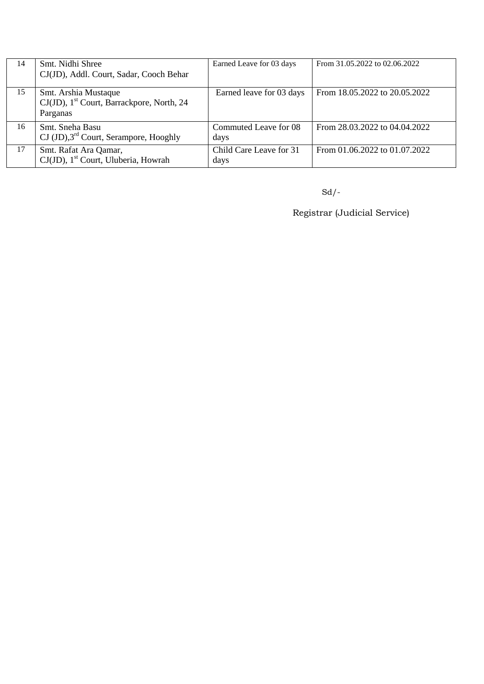| 14 | Smt. Nidhi Shree<br>CJ(JD), Addl. Court, Sadar, Cooch Behar                               | Earned Leave for 03 days        | From 31.05.2022 to 02.06.2022 |
|----|-------------------------------------------------------------------------------------------|---------------------------------|-------------------------------|
| 15 | Smt. Arshia Mustaque<br>CJ(JD), 1 <sup>st</sup> Court, Barrackpore, North, 24<br>Parganas | Earned leave for 03 days        | From 18.05.2022 to 20.05.2022 |
| 16 | Smt. Sneha Basu<br>$\text{CI (JD)},$ 3 <sup>rd</sup> Court, Serampore, Hooghly            | Commuted Leave for 08<br>days   | From 28.03.2022 to 04.04.2022 |
| 17 | Smt. Rafat Ara Qamar,<br>CJ(JD), 1 <sup>st</sup> Court, Uluberia, Howrah                  | Child Care Leave for 31<br>days | From 01.06.2022 to 01.07.2022 |

 $Sd$ <sup>-</sup>